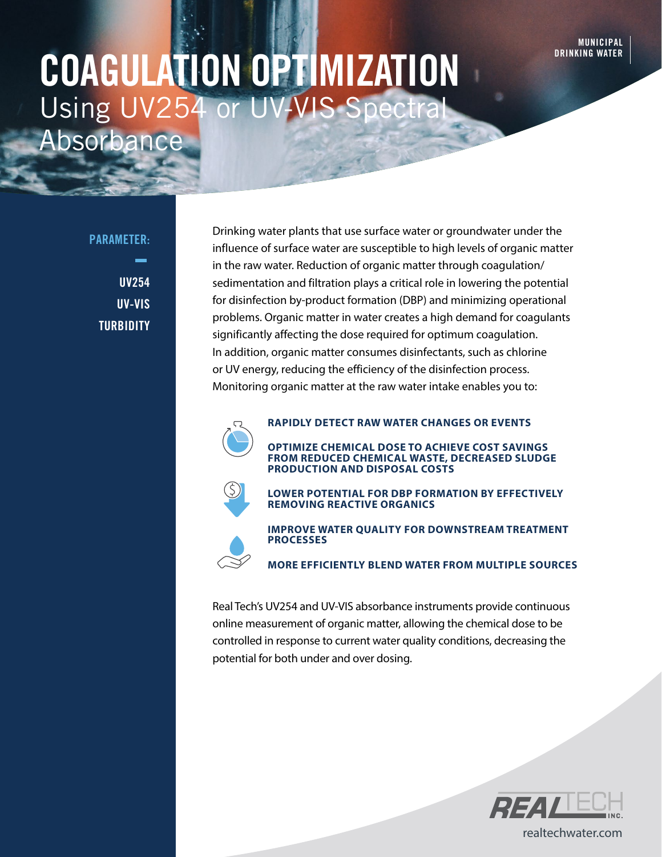# COAGULATION OPTIMIZATION Using UV254 or Absorbance

PARAMETER:

 $\frac{1}{2}$ 

UV254 UV-VIS **TURBIDITY** 

Drinking water plants that use surface water or groundwater under the influence of surface water are susceptible to high levels of organic matter in the raw water. Reduction of organic matter through coagulation/ sedimentation and filtration plays a critical role in lowering the potential for disinfection by-product formation (DBP) and minimizing operational problems. Organic matter in water creates a high demand for coagulants significantly affecting the dose required for optimum coagulation. In addition, organic matter consumes disinfectants, such as chlorine or UV energy, reducing the efficiency of the disinfection process. Monitoring organic matter at the raw water intake enables you to:



**RAPIDLY DETECT RAW WATER CHANGES OR EVENTS**

**OPTIMIZE CHEMICAL DOSE TO ACHIEVE COST SAVINGS FROM REDUCED CHEMICAL WASTE, DECREASED SLUDGE PRODUCTION AND DISPOSAL COSTS**



**LOWER POTENTIAL FOR DBP FORMATION BY EFFECTIVELY REMOVING REACTIVE ORGANICS**

**IMPROVE WATER QUALITY FOR DOWNSTREAM TREATMENT PROCESSES**

**MORE EFFICIENTLY BLEND WATER FROM MULTIPLE SOURCES**

Real Tech's UV254 and UV-VIS absorbance instruments provide continuous online measurement of organic matter, allowing the chemical dose to be controlled in response to current water quality conditions, decreasing the potential for both under and over dosing.



realtechwater.com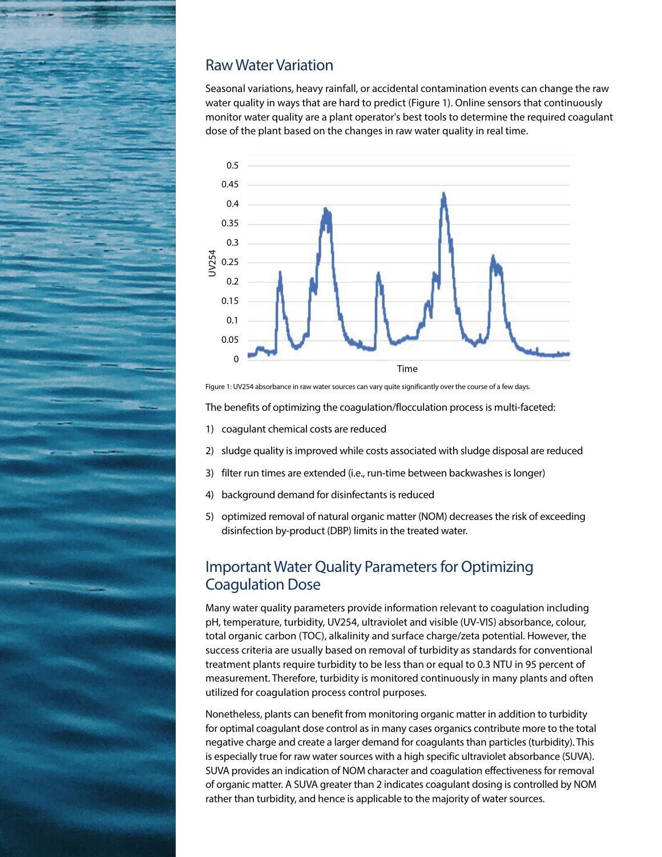

### Raw Water Variation

Seasonal variations, heavy rainfall, or accidental contamination events can change the raw water quality in ways that are hard to predict (Figure 1). Online sensors that continuously monitor water quality are a plant operator's best tools to determine the required coagulant dose of the plant based on the changes in raw water quality in real time.



Figure 1: UV254 absorbance in raw water sources can vary quite significantly over the course of a few days.

The benefits of optimizing the coagulation/flocculation process is multi-faceted:

- 1) coagulant chemical costs are reduced
- 2) sludge quality is improved while costs associated with sludge disposal are reduced
- 3) filter run times are extended (i.e., run-time between backwashes is longer)
- 4) background demand for disinfectants is reduced
- 5) optimized removal of natural organic matter (NOM) decreases the risk of exceeding disinfection by-product (DBP) limits in the treated water.

#### Important Water Quality Parameters for Optimizing Coagulation Dose

Many water quality parameters provide information relevant to coagulation including pH, temperature, turbidity, UV254, ultraviolet and visible (UV-VIS) absorbance, colour, total organic carbon (TOC), alkalinity and surface charge/zeta potential. However, the success criteria are usually based on removal of turbidity as standards for conventional treatment plants require turbidity to be less than or equal to 0.3 NTU in 95 percent of measurement. Therefore, turbidity is monitored continuously in many plants and often utilized for coagulation process control purposes.

Nonetheless, plants can benefit from monitoring organic matter in addition to turbidity for optimal coagulant dose control as in many cases organics contribute more to the total negative charge and create a larger demand for coagulants than particles (turbidity). This is especially true for raw water sources with a high specific ultraviolet absorbance (SUVA). SUVA provides an indication of NOM character and coagulation effectiveness for removal of organic matter. A SUVA greater than 2 indicates coagulant dosing is controlled by NOM rather than turbidity, and hence is applicable to the majority of water sources.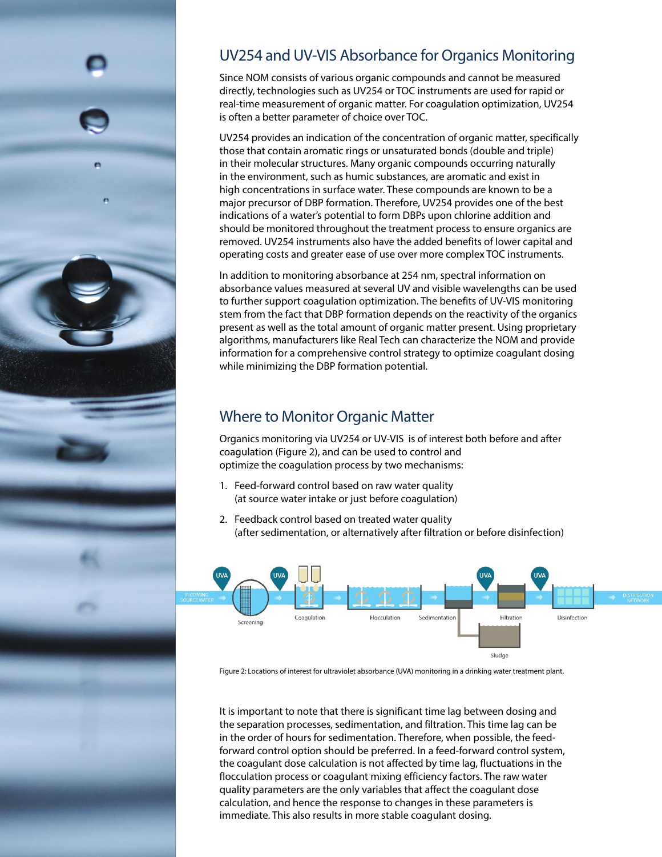

# UV254 and UV-VIS Absorbance for Organics Monitoring

Since NOM consists of various organic compounds and cannot be measured directly, technologies such as UV254 or TOC instruments are used for rapid or real-time measurement of organic matter. For coagulation optimization, UV254 is often a better parameter of choice over TOC.

UV254 provides an indication of the concentration of organic matter, specifically those that contain aromatic rings or unsaturated bonds (double and triple) in their molecular structures. Many organic compounds occurring naturally in the environment, such as humic substances, are aromatic and exist in high concentrations in surface water. These compounds are known to be a major precursor of DBP formation. Therefore, UV254 provides one of the best indications of a water's potential to form DBPs upon chlorine addition and should be monitored throughout the treatment process to ensure organics are removed. UV254 instruments also have the added benefits of lower capital and operating costs and greater ease of use over more complex TOC instruments.

In addition to monitoring absorbance at 254 nm, spectral information on absorbance values measured at several UV and visible wavelengths can be used to further support coagulation optimization. The benefits of UV-VIS monitoring stem from the fact that DBP formation depends on the reactivity of the organics present as well as the total amount of organic matter present. Using proprietary algorithms, manufacturers like Real Tech can characterize the NOM and provide information for a comprehensive control strategy to optimize coagulant dosing while minimizing the DBP formation potential.

# Where to Monitor Organic Matter

Organics monitoring via UV254 or UV-VIS is of interest both before and after coagulation (Figure 2), and can be used to control and optimize the coagulation process by two mechanisms:

- 1. Feed-forward control based on raw water quality (at source water intake or just before coagulation)
- 2. Feedback control based on treated water quality (after sedimentation, or alternatively after filtration or before disinfection)



Figure 2: Locations of interest for ultraviolet absorbance (UVA) monitoring in a drinking water treatment plant.

It is important to note that there is significant time lag between dosing and the separation processes, sedimentation, and filtration. This time lag can be in the order of hours for sedimentation. Therefore, when possible, the feedforward control option should be preferred. In a feed-forward control system, the coagulant dose calculation is not affected by time lag, fluctuations in the flocculation process or coagulant mixing efficiency factors. The raw water quality parameters are the only variables that affect the coagulant dose calculation, and hence the response to changes in these parameters is immediate. This also results in more stable coagulant dosing.